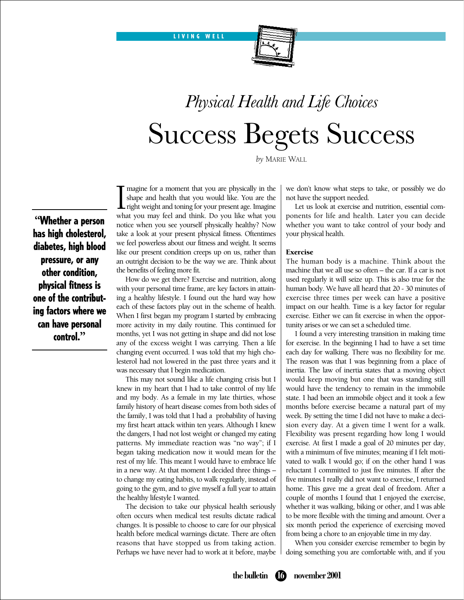LIVING WELL



# *Physical Health and Life Choices* Success Begets Success

*by* MARIE WALL

**"**Whether a person has high cholesterol, diabetes, high blood pressure, or any other condition, physical fitness is one of the contributing factors where we can have personal control.**"**

I magine for a moment that you are physically in the shape and health that you would like. You are the right weight and toning for your present age. Imagine what you may feel and think. Do you like what you magine for a moment that you are physically in the shape and health that you would like. You are the **L** right weight and toning for your present age. Imagine notice when you see yourself physically healthy? Now take a look at your present physical fitness. Oftentimes we feel powerless about our fitness and weight. It seems like our present condition creeps up on us, rather than an outright decision to be the way we are. Think about the benefits of feeling more fit.

How do we get there? Exercise and nutrition, along with your personal time frame, are key factors in attaining a healthy lifestyle. I found out the hard way how each of these factors play out in the scheme of health. When I first began my program I started by embracing more activity in my daily routine. This continued for months, yet I was not getting in shape and did not lose any of the excess weight I was carrying. Then a life changing event occurred. I was told that my high cholesterol had not lowered in the past three years and it was necessary that I begin medication.

This may not sound like a life changing crisis but I knew in my heart that I had to take control of my life and my body. As a female in my late thirties, whose family history of heart disease comes from both sides of the family, I was told that I had a probability of having my first heart attack within ten years. Although I knew the dangers, I had not lost weight or changed my eating patterns. My immediate reaction was "no way"; if I began taking medication now it would mean for the rest of my life. This meant I would have to embrace life in a new way. At that moment I decided three things – to change my eating habits, to walk regularly, instead of going to the gym, and to give myself a full year to attain the healthy lifestyle I wanted.

The decision to take our physical health seriously often occurs when medical test results dictate radical changes. It is possible to choose to care for our physical health before medical warnings dictate. There are often reasons that have stopped us from taking action. Perhaps we have never had to work at it before, maybe we don't know what steps to take, or possibly we do not have the support needed.

Let us look at exercise and nutrition, essential components for life and health. Later you can decide whether you want to take control of your body and your physical health.

#### Exercise

The human body is a machine. Think about the machine that we all use so often – the car. If a car is not used regularly it will seize up. This is also true for the human body. We have all heard that 20 - 30 minutes of exercise three times per week can have a positive impact on our health. Time is a key factor for regular exercise. Either we can fit exercise in when the opportunity arises or we can set a scheduled time.

I found a very interesting transition in making time for exercise. In the beginning I had to have a set time each day for walking. There was no flexibility for me. The reason was that I was beginning from a place of inertia. The law of inertia states that a moving object would keep moving but one that was standing still would have the tendency to remain in the immobile state. I had been an immobile object and it took a few months before exercise became a natural part of my week. By setting the time I did not have to make a decision every day. At a given time I went for a walk. Flexibility was present regarding how long I would exercise. At first I made a goal of 20 minutes per day, with a minimum of five minutes; meaning if I felt motivated to walk I would go; if on the other hand I was reluctant I committed to just five minutes. If after the five minutes I really did not want to exercise, I returned home. This gave me a great deal of freedom. After a couple of months I found that I enjoyed the exercise, whether it was walking, biking or other, and I was able to be more flexible with the timing and amount. Over a six month period the experience of exercising moved from being a chore to an enjoyable time in my day.

When you consider exercise remember to begin by doing something you are comfortable with, and if you